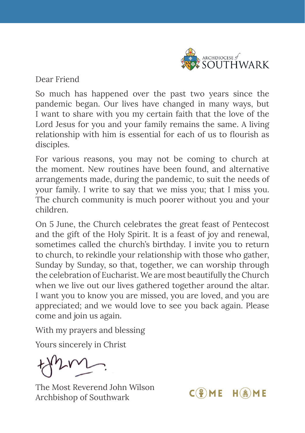

 $C(\frac{6}{5})ME$  H(A)ME

Dear Friend

So much has happened over the past two years since the pandemic began. Our lives have changed in many ways, but I want to share with you my certain faith that the love of the Lord Jesus for you and your family remains the same. A living relationship with him is essential for each of us to flourish as disciples.

For various reasons, you may not be coming to church at the moment. New routines have been found, and alternative arrangements made, during the pandemic, to suit the needs of your family. I write to say that we miss you; that I miss you. The church community is much poorer without you and your children.

On 5 June, the Church celebrates the great feast of Pentecost and the gift of the Holy Spirit. It is a feast of joy and renewal, sometimes called the church's birthday. I invite you to return to church, to rekindle your relationship with those who gather, Sunday by Sunday, so that, together, we can worship through the celebration of Eucharist. We are most beautifully the Church when we live out our lives gathered together around the altar. I want you to know you are missed, you are loved, and you are appreciated; and we would love to see you back again. Please come and join us again.

With my prayers and blessing

Yours sincerely in Christ

The Most Reverend John Wilson Archbishop of Southwark